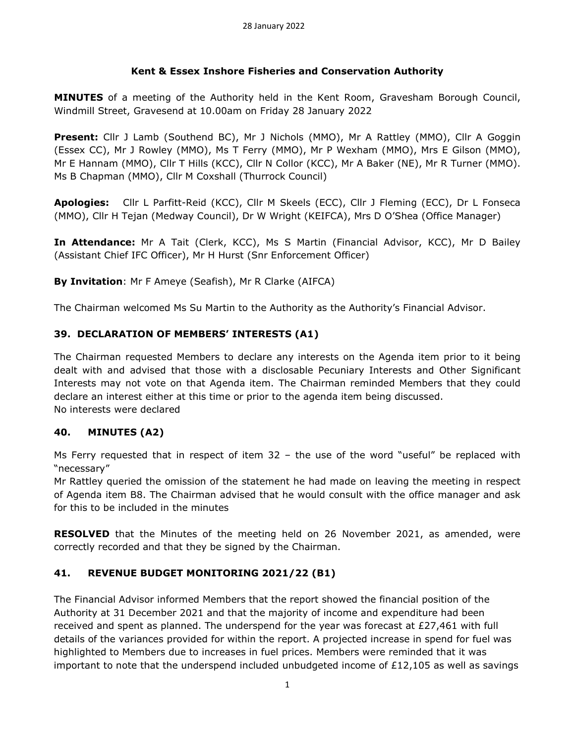#### **Kent & Essex Inshore Fisheries and Conservation Authority**

**MINUTES** of a meeting of the Authority held in the Kent Room, Gravesham Borough Council, Windmill Street, Gravesend at 10.00am on Friday 28 January 2022

**Present:** Cllr J Lamb (Southend BC), Mr J Nichols (MMO), Mr A Rattley (MMO), Cllr A Goggin (Essex CC), Mr J Rowley (MMO), Ms T Ferry (MMO), Mr P Wexham (MMO), Mrs E Gilson (MMO), Mr E Hannam (MMO), Cllr T Hills (KCC), Cllr N Collor (KCC), Mr A Baker (NE), Mr R Turner (MMO). Ms B Chapman (MMO), Cllr M Coxshall (Thurrock Council)

**Apologies:** Cllr L Parfitt-Reid (KCC), Cllr M Skeels (ECC), Cllr J Fleming (ECC), Dr L Fonseca (MMO), Cllr H Tejan (Medway Council), Dr W Wright (KEIFCA), Mrs D O'Shea (Office Manager)

**In Attendance:** Mr A Tait (Clerk, KCC), Ms S Martin (Financial Advisor, KCC), Mr D Bailey (Assistant Chief IFC Officer), Mr H Hurst (Snr Enforcement Officer)

**By Invitation**: Mr F Ameye (Seafish), Mr R Clarke (AIFCA)

The Chairman welcomed Ms Su Martin to the Authority as the Authority's Financial Advisor.

## **39. DECLARATION OF MEMBERS' INTERESTS (A1)**

The Chairman requested Members to declare any interests on the Agenda item prior to it being dealt with and advised that those with a disclosable Pecuniary Interests and Other Significant Interests may not vote on that Agenda item. The Chairman reminded Members that they could declare an interest either at this time or prior to the agenda item being discussed. No interests were declared

#### **40. MINUTES (A2)**

Ms Ferry requested that in respect of item  $32$  – the use of the word "useful" be replaced with "necessary"

Mr Rattley queried the omission of the statement he had made on leaving the meeting in respect of Agenda item B8. The Chairman advised that he would consult with the office manager and ask for this to be included in the minutes

**RESOLVED** that the Minutes of the meeting held on 26 November 2021, as amended, were correctly recorded and that they be signed by the Chairman.

## **41. REVENUE BUDGET MONITORING 2021/22 (B1)**

The Financial Advisor informed Members that the report showed the financial position of the Authority at 31 December 2021 and that the majority of income and expenditure had been received and spent as planned. The underspend for the year was forecast at  $E27,461$  with full details of the variances provided for within the report. A projected increase in spend for fuel was highlighted to Members due to increases in fuel prices. Members were reminded that it was important to note that the underspend included unbudgeted income of  $E12,105$  as well as savings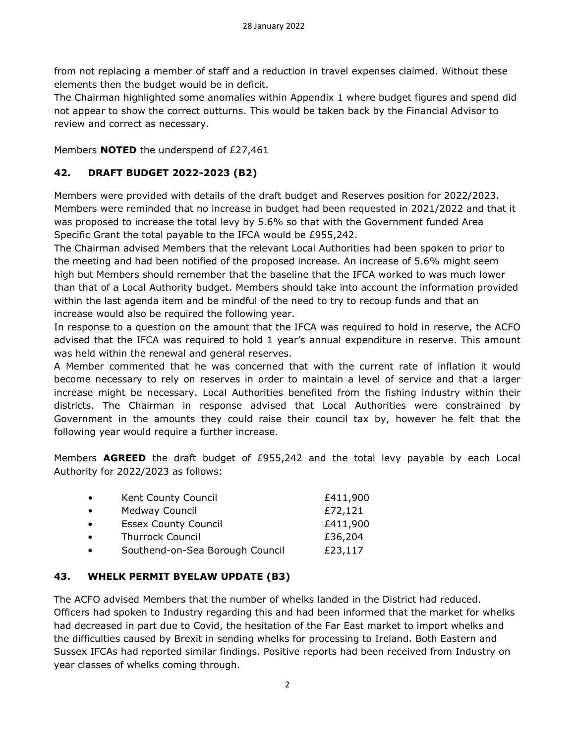from not replacing a member of staff and a reduction in travel expenses claimed. Without these elements then the budget would be in deficit.

The Chairman highlighted some anomalies within Appendix 1 where budget figures and spend did not appear to show the correct outturns. This would be taken back by the Financial Advisor to review and correct as necessary.

Members **NOTED** the underspend of £27,461

## **42. DRAFT BUDGET 2022-2023 (B2)**

Members were provided with details of the draft budget and Reserves position for 2022/2023. Members were reminded that no increase in budget had been requested in 2021/2022 and that it was proposed to increase the total levy by 5.6% so that with the Government funded Area Specific Grant the total payable to the IFCA would be £955,242.

The Chairman advised Members that the relevant Local Authorities had been spoken to prior to the meeting and had been notified of the proposed increase. An increase of 5.6% might seem high but Members should remember that the baseline that the IFCA worked to was much lower than that of a Local Authority budget. Members should take into account the information provided within the last agenda item and be mindful of the need to try to recoup funds and that an increase would also be required the following year.

In response to a question on the amount that the IFCA was required to hold in reserve, the ACFO advised that the IFCA was required to hold 1 year's annual expenditure in reserve. This amount was held within the renewal and general reserves.

A Member commented that he was concerned that with the current rate of inflation it would become necessary to rely on reserves in order to maintain a level of service and that a larger increase might be necessary. Local Authorities benefited from the fishing industry within their districts. The Chairman in response advised that Local Authorities were constrained by Government in the amounts they could raise their council tax by, however he felt that the following year would require a further increase.

Members **AGREED** the draft budget of £955,242 and the total levy payable by each Local Authority for 2022/2023 as follows:

| $\bullet$ | Kent County Council             | £411,900 |
|-----------|---------------------------------|----------|
| $\bullet$ | Medway Council                  | £72,121  |
| $\bullet$ | <b>Essex County Council</b>     | £411,900 |
| $\bullet$ | <b>Thurrock Council</b>         | £36,204  |
| $\bullet$ | Southend-on-Sea Borough Council | £23,117  |

#### **43. WHELK PERMIT BYELAW UPDATE (B3)**

The ACFO advised Members that the number of whelks landed in the District had reduced. Officers had spoken to Industry regarding this and had been informed that the market for whelks had decreased in part due to Covid, the hesitation of the Far East market to import whelks and the difficulties caused by Brexit in sending whelks for processing to Ireland. Both Eastern and Sussex IFCAs had reported similar findings. Positive reports had been received from Industry on year classes of whelks coming through.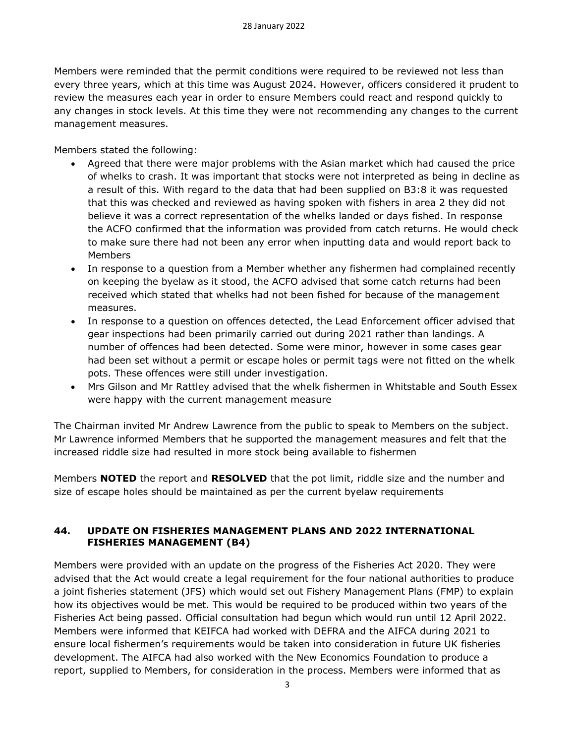Members were reminded that the permit conditions were required to be reviewed not less than every three years, which at this time was August 2024. However, officers considered it prudent to review the measures each year in order to ensure Members could react and respond quickly to any changes in stock levels. At this time they were not recommending any changes to the current management measures.

Members stated the following:

- Agreed that there were major problems with the Asian market which had caused the price of whelks to crash. It was important that stocks were not interpreted as being in decline as a result of this. With regard to the data that had been supplied on B3:8 it was requested that this was checked and reviewed as having spoken with fishers in area 2 they did not believe it was a correct representation of the whelks landed or days fished. In response the ACFO confirmed that the information was provided from catch returns. He would check to make sure there had not been any error when inputting data and would report back to **Members**
- In response to a question from a Member whether any fishermen had complained recently on keeping the byelaw as it stood, the ACFO advised that some catch returns had been received which stated that whelks had not been fished for because of the management measures.
- In response to a question on offences detected, the Lead Enforcement officer advised that gear inspections had been primarily carried out during 2021 rather than landings. A number of offences had been detected. Some were minor, however in some cases gear had been set without a permit or escape holes or permit tags were not fitted on the whelk pots. These offences were still under investigation.
- Mrs Gilson and Mr Rattley advised that the whelk fishermen in Whitstable and South Essex were happy with the current management measure

The Chairman invited Mr Andrew Lawrence from the public to speak to Members on the subject. Mr Lawrence informed Members that he supported the management measures and felt that the increased riddle size had resulted in more stock being available to fishermen

Members **NOTED** the report and **RESOLVED** that the pot limit, riddle size and the number and size of escape holes should be maintained as per the current byelaw requirements

## **44. UPDATE ON FISHERIES MANAGEMENT PLANS AND 2022 INTERNATIONAL FISHERIES MANAGEMENT (B4)**

Members were provided with an update on the progress of the Fisheries Act 2020. They were advised that the Act would create a legal requirement for the four national authorities to produce a joint fisheries statement (JFS) which would set out Fishery Management Plans (FMP) to explain how its objectives would be met. This would be required to be produced within two years of the Fisheries Act being passed. Official consultation had begun which would run until 12 April 2022. Members were informed that KEIFCA had worked with DEFRA and the AIFCA during 2021 to ensure local fishermen's requirements would be taken into consideration in future UK fisheries development. The AIFCA had also worked with the New Economics Foundation to produce a report, supplied to Members, for consideration in the process. Members were informed that as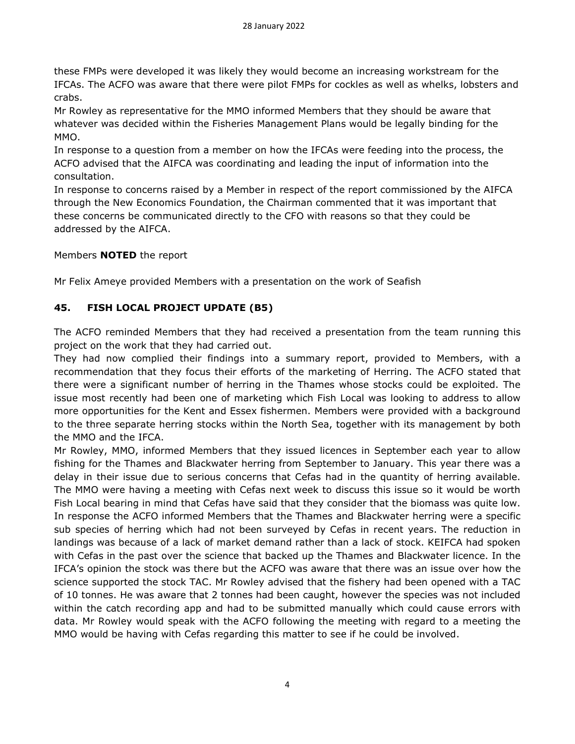these FMPs were developed it was likely they would become an increasing workstream for the IFCAs. The ACFO was aware that there were pilot FMPs for cockles as well as whelks, lobsters and crabs.

Mr Rowley as representative for the MMO informed Members that they should be aware that whatever was decided within the Fisheries Management Plans would be legally binding for the MMO.

In response to a question from a member on how the IFCAs were feeding into the process, the ACFO advised that the AIFCA was coordinating and leading the input of information into the consultation.

In response to concerns raised by a Member in respect of the report commissioned by the AIFCA through the New Economics Foundation, the Chairman commented that it was important that these concerns be communicated directly to the CFO with reasons so that they could be addressed by the AIFCA.

#### Members **NOTED** the report

Mr Felix Ameye provided Members with a presentation on the work of Seafish

## **45. FISH LOCAL PROJECT UPDATE (B5)**

The ACFO reminded Members that they had received a presentation from the team running this project on the work that they had carried out.

They had now complied their findings into a summary report, provided to Members, with a recommendation that they focus their efforts of the marketing of Herring. The ACFO stated that there were a significant number of herring in the Thames whose stocks could be exploited. The issue most recently had been one of marketing which Fish Local was looking to address to allow more opportunities for the Kent and Essex fishermen. Members were provided with a background to the three separate herring stocks within the North Sea, together with its management by both the MMO and the IFCA.

Mr Rowley, MMO, informed Members that they issued licences in September each year to allow fishing for the Thames and Blackwater herring from September to January. This year there was a delay in their issue due to serious concerns that Cefas had in the quantity of herring available. The MMO were having a meeting with Cefas next week to discuss this issue so it would be worth Fish Local bearing in mind that Cefas have said that they consider that the biomass was quite low. In response the ACFO informed Members that the Thames and Blackwater herring were a specific sub species of herring which had not been surveyed by Cefas in recent years. The reduction in landings was because of a lack of market demand rather than a lack of stock. KEIFCA had spoken with Cefas in the past over the science that backed up the Thames and Blackwater licence. In the IFCA's opinion the stock was there but the ACFO was aware that there was an issue over how the science supported the stock TAC. Mr Rowley advised that the fishery had been opened with a TAC of 10 tonnes. He was aware that 2 tonnes had been caught, however the species was not included within the catch recording app and had to be submitted manually which could cause errors with data. Mr Rowley would speak with the ACFO following the meeting with regard to a meeting the MMO would be having with Cefas regarding this matter to see if he could be involved.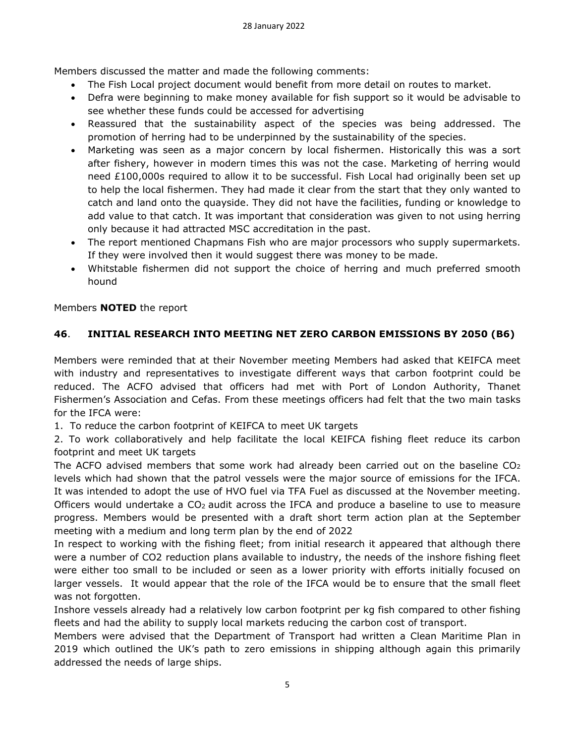Members discussed the matter and made the following comments:

- The Fish Local project document would benefit from more detail on routes to market.
- Defra were beginning to make money available for fish support so it would be advisable to see whether these funds could be accessed for advertising
- Reassured that the sustainability aspect of the species was being addressed. The promotion of herring had to be underpinned by the sustainability of the species.
- Marketing was seen as a major concern by local fishermen. Historically this was a sort after fishery, however in modern times this was not the case. Marketing of herring would need £100,000s required to allow it to be successful. Fish Local had originally been set up to help the local fishermen. They had made it clear from the start that they only wanted to catch and land onto the quayside. They did not have the facilities, funding or knowledge to add value to that catch. It was important that consideration was given to not using herring only because it had attracted MSC accreditation in the past.
- The report mentioned Chapmans Fish who are major processors who supply supermarkets. If they were involved then it would suggest there was money to be made.
- Whitstable fishermen did not support the choice of herring and much preferred smooth hound

Members **NOTED** the report

# **46**. **INITIAL RESEARCH INTO MEETING NET ZERO CARBON EMISSIONS BY 2050 (B6)**

Members were reminded that at their November meeting Members had asked that KEIFCA meet with industry and representatives to investigate different ways that carbon footprint could be reduced. The ACFO advised that officers had met with Port of London Authority, Thanet Fishermen's Association and Cefas. From these meetings officers had felt that the two main tasks for the IFCA were:

1. To reduce the carbon footprint of KEIFCA to meet UK targets

2. To work collaboratively and help facilitate the local KEIFCA fishing fleet reduce its carbon footprint and meet UK targets

The ACFO advised members that some work had already been carried out on the baseline  $CO<sub>2</sub>$ levels which had shown that the patrol vessels were the major source of emissions for the IFCA. It was intended to adopt the use of HVO fuel via TFA Fuel as discussed at the November meeting. Officers would undertake a CO2 audit across the IFCA and produce a baseline to use to measure progress. Members would be presented with a draft short term action plan at the September meeting with a medium and long term plan by the end of 2022

In respect to working with the fishing fleet; from initial research it appeared that although there were a number of CO2 reduction plans available to industry, the needs of the inshore fishing fleet were either too small to be included or seen as a lower priority with efforts initially focused on larger vessels. It would appear that the role of the IFCA would be to ensure that the small fleet was not forgotten.

Inshore vessels already had a relatively low carbon footprint per kg fish compared to other fishing fleets and had the ability to supply local markets reducing the carbon cost of transport.

Members were advised that the Department of Transport had written a Clean Maritime Plan in 2019 which outlined the UK's path to zero emissions in shipping although again this primarily addressed the needs of large ships.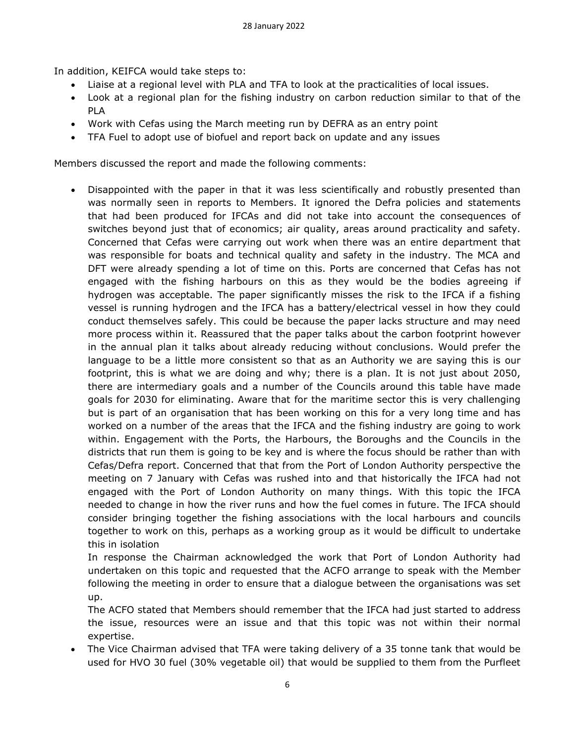In addition, KEIFCA would take steps to:

- Liaise at a regional level with PLA and TFA to look at the practicalities of local issues.
- Look at a regional plan for the fishing industry on carbon reduction similar to that of the PLA
- Work with Cefas using the March meeting run by DEFRA as an entry point
- TFA Fuel to adopt use of biofuel and report back on update and any issues

Members discussed the report and made the following comments:

• Disappointed with the paper in that it was less scientifically and robustly presented than was normally seen in reports to Members. It ignored the Defra policies and statements that had been produced for IFCAs and did not take into account the consequences of switches beyond just that of economics; air quality, areas around practicality and safety. Concerned that Cefas were carrying out work when there was an entire department that was responsible for boats and technical quality and safety in the industry. The MCA and DFT were already spending a lot of time on this. Ports are concerned that Cefas has not engaged with the fishing harbours on this as they would be the bodies agreeing if hydrogen was acceptable. The paper significantly misses the risk to the IFCA if a fishing vessel is running hydrogen and the IFCA has a battery/electrical vessel in how they could conduct themselves safely. This could be because the paper lacks structure and may need more process within it. Reassured that the paper talks about the carbon footprint however in the annual plan it talks about already reducing without conclusions. Would prefer the language to be a little more consistent so that as an Authority we are saying this is our footprint, this is what we are doing and why; there is a plan. It is not just about 2050, there are intermediary goals and a number of the Councils around this table have made goals for 2030 for eliminating. Aware that for the maritime sector this is very challenging but is part of an organisation that has been working on this for a very long time and has worked on a number of the areas that the IFCA and the fishing industry are going to work within. Engagement with the Ports, the Harbours, the Boroughs and the Councils in the districts that run them is going to be key and is where the focus should be rather than with Cefas/Defra report. Concerned that that from the Port of London Authority perspective the meeting on 7 January with Cefas was rushed into and that historically the IFCA had not engaged with the Port of London Authority on many things. With this topic the IFCA needed to change in how the river runs and how the fuel comes in future. The IFCA should consider bringing together the fishing associations with the local harbours and councils together to work on this, perhaps as a working group as it would be difficult to undertake this in isolation

In response the Chairman acknowledged the work that Port of London Authority had undertaken on this topic and requested that the ACFO arrange to speak with the Member following the meeting in order to ensure that a dialogue between the organisations was set up.

The ACFO stated that Members should remember that the IFCA had just started to address the issue, resources were an issue and that this topic was not within their normal expertise.

• The Vice Chairman advised that TFA were taking delivery of a 35 tonne tank that would be used for HVO 30 fuel (30% vegetable oil) that would be supplied to them from the Purfleet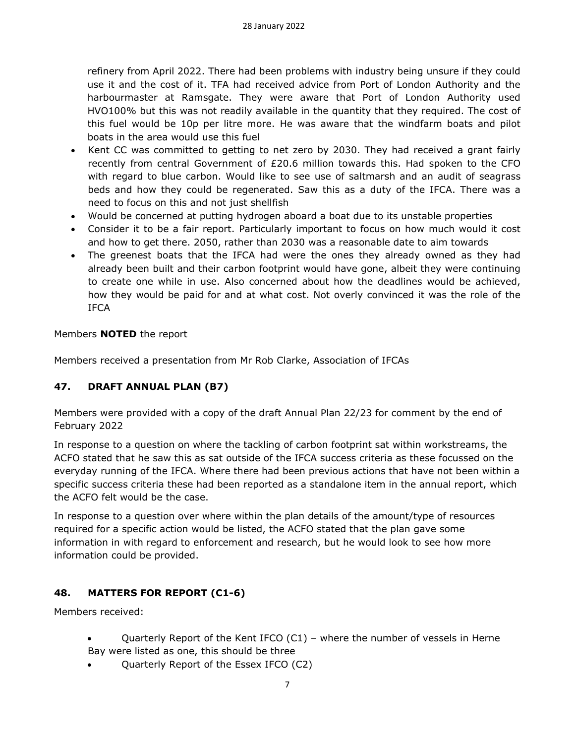refinery from April 2022. There had been problems with industry being unsure if they could use it and the cost of it. TFA had received advice from Port of London Authority and the harbourmaster at Ramsgate. They were aware that Port of London Authority used HVO100% but this was not readily available in the quantity that they required. The cost of this fuel would be 10p per litre more. He was aware that the windfarm boats and pilot boats in the area would use this fuel

- Kent CC was committed to getting to net zero by 2030. They had received a grant fairly recently from central Government of £20.6 million towards this. Had spoken to the CFO with regard to blue carbon. Would like to see use of saltmarsh and an audit of seagrass beds and how they could be regenerated. Saw this as a duty of the IFCA. There was a need to focus on this and not just shellfish
- Would be concerned at putting hydrogen aboard a boat due to its unstable properties
- Consider it to be a fair report. Particularly important to focus on how much would it cost and how to get there. 2050, rather than 2030 was a reasonable date to aim towards
- The greenest boats that the IFCA had were the ones they already owned as they had already been built and their carbon footprint would have gone, albeit they were continuing to create one while in use. Also concerned about how the deadlines would be achieved, how they would be paid for and at what cost. Not overly convinced it was the role of the IFCA

Members **NOTED** the report

Members received a presentation from Mr Rob Clarke, Association of IFCAs

## **47. DRAFT ANNUAL PLAN (B7)**

Members were provided with a copy of the draft Annual Plan 22/23 for comment by the end of February 2022

In response to a question on where the tackling of carbon footprint sat within workstreams, the ACFO stated that he saw this as sat outside of the IFCA success criteria as these focussed on the everyday running of the IFCA. Where there had been previous actions that have not been within a specific success criteria these had been reported as a standalone item in the annual report, which the ACFO felt would be the case.

In response to a question over where within the plan details of the amount/type of resources required for a specific action would be listed, the ACFO stated that the plan gave some information in with regard to enforcement and research, but he would look to see how more information could be provided.

## **48. MATTERS FOR REPORT (C1-6)**

Members received:

- Quarterly Report of the Kent IFCO  $(C1)$  where the number of vessels in Herne Bay were listed as one, this should be three
- Quarterly Report of the Essex IFCO (C2)